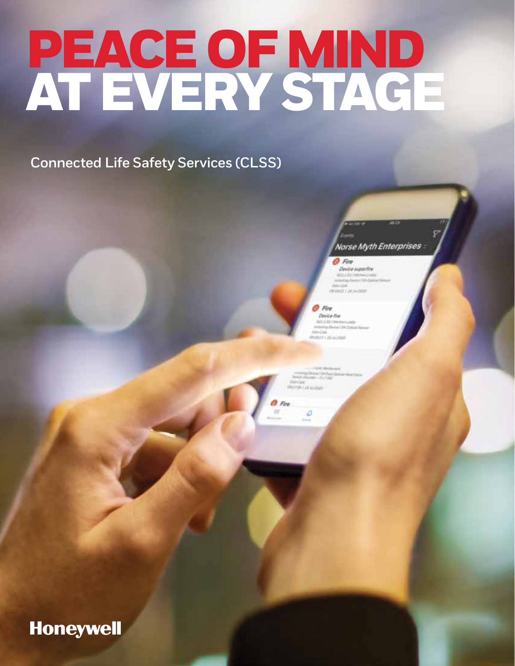# PEACE OF MIND<br>AT EVERY STAGE

**Connected Life Safety Services (CLSS)** 



#### O Fire

Device superfits **WIEGE / JAJANER** 

#### O Fire Device five

### **Honeywell**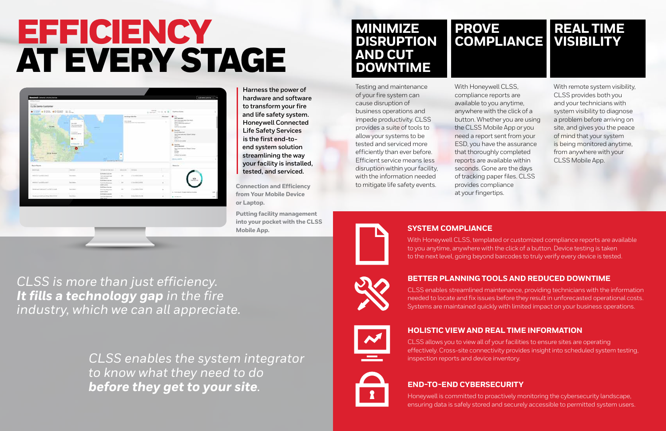# EFFICIENCY AT EVERY STAGE



**Harness the power of hardware and software to transform your fire and life safety system. Honeywell Connected Life Safety Services is the first end-toend system solution streamlining the way your facility is installed, tested, and serviced.** 

*CLSS is more than just efficiency. It fills a technology gap in the fire industry, which we can all appreciate.* Testing and maintenance of your fire system can cause disruption of business operations and impede productivity. CLSS provides a suite of tools to allow your systems to be tested and serviced more efficiently than ever before. Efficient service means less disruption within your facility, with the information needed to mitigate life safety events.

With Honeywell CLSS, compliance reports are available to you anytime, anywhere with the click of a button. Whether you are using the CLSS Mobile App or you need a report sent from your ESD, you have the assurance that thoroughly completed reports are available within seconds. Gone are the days of tracking paper files. CLSS provides compliance at your fingertips.

With remote system visibility, CLSS provides both you and your technicians with system visibility to diagnose a problem before arriving on site, and gives you the peace of mind that your system is being monitored anytime, from anywhere with your CLSS Mobile App.

**MINIMIZE DISRUPTION AND CUT DOWNTIME**

### **SYSTEM COMPLIANCE**

With Honeywell CLSS, templated or customized compliance reports are available to you anytime, anywhere with the click of a button. Device testing is taken to the next level, going beyond barcodes to truly verify every device is tested.

### **BETTER PLANNING TOOLS AND REDUCED DOWNTIME**

CLSS enables streamlined maintenance, providing technicians with the information needed to locate and fix issues before they result in unforecasted operational costs. Systems are maintained quickly with limited impact on your business operations.

### **HOLISTIC VIEW AND REAL TIME INFORMATION**

CLSS allows you to view all of your facilities to ensure sites are operating effectively. Cross-site connectivity provides insight into scheduled system testing, inspection reports and device inventory.

#### **END-TO-END CYBERSECURITY**

Honeywell is committed to proactively monitoring the cybersecurity landscape, ensuring data is safely stored and securely accessible to permitted system users.

## **PROVE COMPLIANCE**

# **REAL TIME VISIBILITY**

**Connection and Efficiency from Your Mobile Device or Laptop.**

**Putting facility management into your pocket with the CLSS Mobile App.**

*CLSS enables the system integrator to know what they need to do before they get to your site.*